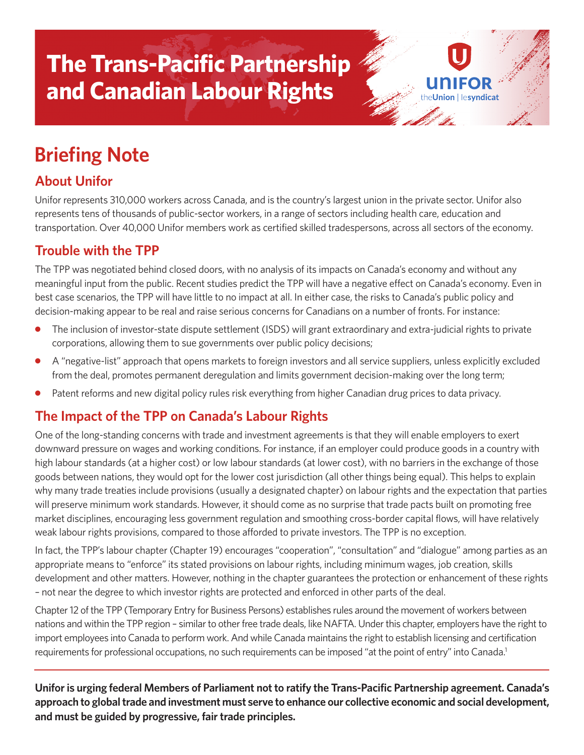# **The Trans-Pacific Partnership and Canadian Labour Rights**

# **Briefing Note**

## **About Unifor**

Unifor represents 310,000 workers across Canada, and is the country's largest union in the private sector. Unifor also represents tens of thousands of public-sector workers, in a range of sectors including health care, education and transportation. Over 40,000 Unifor members work as certified skilled tradespersons, across all sectors of the economy.

ion | lesvndicat

#### **Trouble with the TPP**

The TPP was negotiated behind closed doors, with no analysis of its impacts on Canada's economy and without any meaningful input from the public. Recent studies predict the TPP will have a negative effect on Canada's economy. Even in best case scenarios, the TPP will have little to no impact at all. In either case, the risks to Canada's public policy and decision-making appear to be real and raise serious concerns for Canadians on a number of fronts. For instance:

- The inclusion of investor-state dispute settlement (ISDS) will grant extraordinary and extra-judicial rights to private corporations, allowing them to sue governments over public policy decisions;
- **●** A "negative-list" approach that opens markets to foreign investors and all service suppliers, unless explicitly excluded from the deal, promotes permanent deregulation and limits government decision-making over the long term;
- **●** Patent reforms and new digital policy rules risk everything from higher Canadian drug prices to data privacy.

#### **The Impact of the TPP on Canada's Labour Rights**

One of the long-standing concerns with trade and investment agreements is that they will enable employers to exert downward pressure on wages and working conditions. For instance, if an employer could produce goods in a country with high labour standards (at a higher cost) or low labour standards (at lower cost), with no barriers in the exchange of those goods between nations, they would opt for the lower cost jurisdiction (all other things being equal). This helps to explain why many trade treaties include provisions (usually a designated chapter) on labour rights and the expectation that parties will preserve minimum work standards. However, it should come as no surprise that trade pacts built on promoting free market disciplines, encouraging less government regulation and smoothing cross-border capital flows, will have relatively weak labour rights provisions, compared to those afforded to private investors. The TPP is no exception.

In fact, the TPP's labour chapter (Chapter 19) encourages "cooperation", "consultation" and "dialogue" among parties as an appropriate means to "enforce" its stated provisions on labour rights, including minimum wages, job creation, skills development and other matters. However, nothing in the chapter guarantees the protection or enhancement of these rights – not near the degree to which investor rights are protected and enforced in other parts of the deal.

Chapter12 of the TPP (Temporary Entry for Business Persons) establishes rules around the movement of workers between nations and within the TPP region - similar to other free trade deals, like NAFTA. Under this chapter, employers have the right to import employees into Canada to perform work. And while Canada maintains the right to establish licensing and certification requirements for professional occupations, no such requirements can be imposed "at the point of entry" into Canada.<sup>1</sup>

**Uniforis urging federal Members of Parliament not to ratify the Trans-Pacific Partnership agreement. Canada's approach to globaltrade and investment must serve to enhance our collective economic and social development, and must be guided by progressive, fair trade principles.**